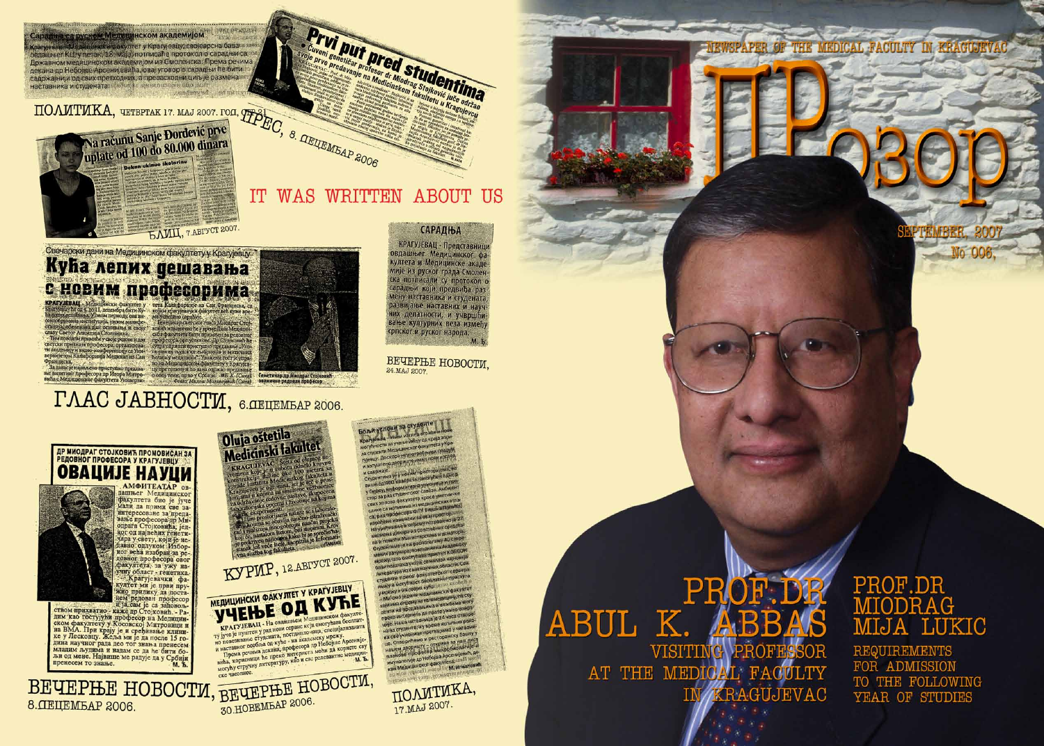Крагујеван Мадзински факултет у Крагујевцу, својеврсна базање<br>овдашњег КЦ, у летак, 18. маја, потписаће протокол о сарадњи са њи<br>Државном медицинском академијом из Смоленска: Према речима

декана др Небојше Арсенијевића, овај уговор о сарадњи ће бити т

садржајнији од свих претходних, а превасходни циљ је размена

вса руском Мелисинском академијом и Булговман.



### IT WAS WRITTEN ABOUT US

Prvi put predevante de Studentine de States

# Кућа лепих дешавања

CHOBMM професси (and between the contract of the contract of the contract of the contract of the contract of the contract of the contract of the contract of the contract of the contract of the contract of the contract of t



КРАГУЈЕВАЦ - Представници<br>овдашњег Медицинског фа<br>култета и Медицинске акаде мије из руског града Смолен кије из руски предмотика<br>Ска потписали су протокол о<br>Сарадњи који предвиђа разразвијање наставних и научних делатности, и учвршћи вање културних веза између српског и руског народа.  $M$   $\bar{b}$ 

**САРАДЊА** 

ВЕЧЕРЊЕ НОВОСТИ, 24.MAJ 2007

**SOAM VCTOBIA 38 CTYAGHTE** 

Медицинског факултета у Кр

Le Viloswin hpocro

# ГЛАС JABHOCTI , 6. ЛЕЦЕМБАР 2006.





. АМФИТЕАТАР ОВфакултета био је јуче мали да прими све заинтересоване за преда-<br>вање професора др Ми-<br>одрага Стојковића, једног од највећих генетичара у свету, који је неног већа изабран за рено всли издран за ре-<br>довно: провос постоя овог<br>факултета, за ужу на-<br>учну област - генетика.<br>- Крагујевачки факултет ми је први пру-<br>жио прилику да поста-

нем редован професор<br>и ја сам је са задовољи јасем је са задовољ-<br>спом прихватио - каже др Стојковић. - Радим као тостујући професор на Медицин<br>на ВМА. При крају је и сређивање клиничке у Лесковцу. Жеља ми је да после 15 година научног рада део тог знања пренесем<br> младим људима и подата се радује да у Србији

KYPMP, 12 ABITYCT 2007. WEININGKY OAKY THET Y KPATYJEBLY<br>
KPATYJEBAIL - Ha objasine Konsulation desegrates<br>
Ty jivie je nyinteev Non Roman cepbac kcji omoryhana Sociutary<br>
Ty jivie je nyinteev y pan Roman cepbac kcji omoryhana Sociutary<br>
Ho noneg BEUEPHE HOBOCTM, BEUEPHE HOBOCTM,

Oluja oštetila<br>Medicinski fakultet

це од 400 квадрата у омогућен бамор ку и из своих кућа: 1000 виобоба<br>смоједини медицински факултет интернета да прате уживо је: Наша читаоница је 24 часа отвор на за студенте, а у време испитних рокоes cee y wohnig speraghand y autachin нашем дворишту - открива за наш лист<br>планове професор микробнологије и опогије др Небојша Арсенијевић, де мунологије неког факултета в видета<br>сан Медицинског факултета в видетами

> ПОЛИТИКА, 17.MAJ 2007.

## PR ABUL K. **JBB** VISITING PROFESSOR AT THE MEDICAL FACULTY



**SPAPER OF** 

# PROF.DR MIJA LUKIC

THE MEDICAL FACULTY IN KRACICEVAC

**REQUIREMENTS** FOR ADMISSION TO THE FOLLOWING YEAR OF STUDIES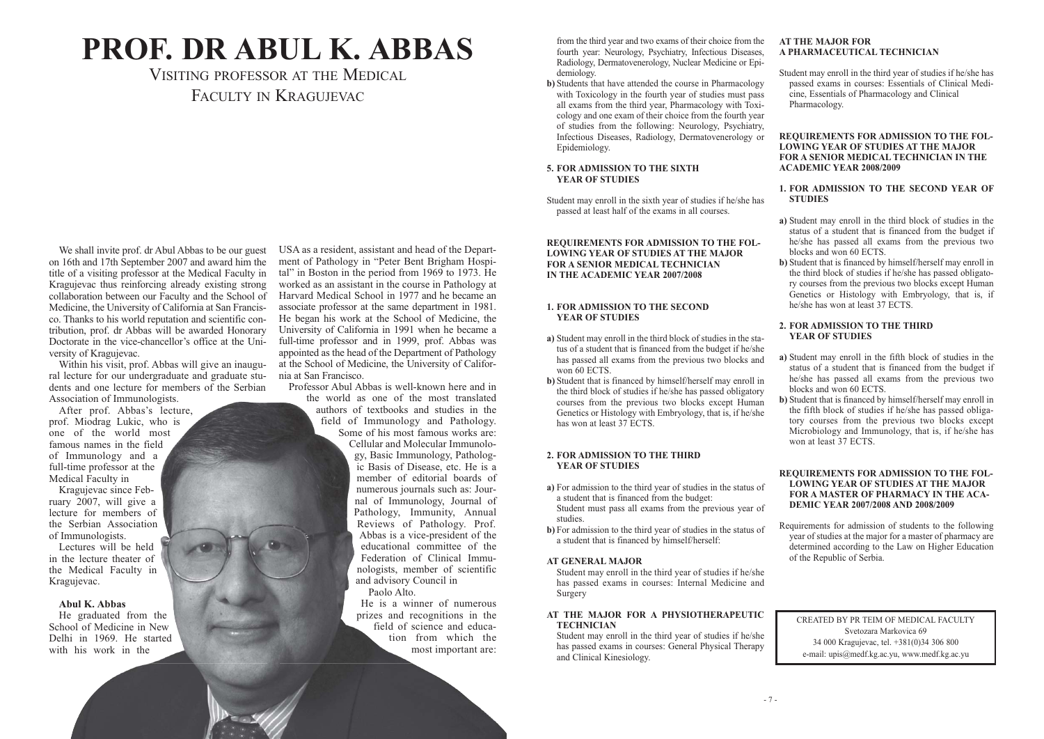We shall invite prof. dr Abul Abbas to be our guest on 16th and 17th September 2007 and award him the title of a visiting professor at the Medical Faculty in Kragujevac thus reinforcing already existing strong collaboration between our Faculty and the School of Medicine, the University of California at San Francisco. Thanks to his world reputation and scientific contribution, prof. dr Abbas will be awarded Honorary Doctorate in the vice-chancellor's office at the University of Kragujevac.

Within his visit, prof. Abbas will give an inaugural lecture for our undergraduate and graduate students and one lecture for members of the Serbian Association of Immunologists.

After prof. Abbas's lecture, prof. Miodrag Lukic, who is one of the world most famous names in the field of Immunology and a full-time professor at the Medical Faculty in

Kragujevac since February 2007, will give a lecture for members of the Serbian Association of Immunologists.

Lectures will be held in the lecture theater of the Medical Faculty in Kragujevac.

### **Abul K. Abbas**

He graduated from the School of Medicine in New Delhi in 1969. He started with his work in the

### VISITING PROFESSOR AT THE MEDICAL FACULTY IN KRAGUJEVAC

USA as a resident, assistant and head of the Department of Pathology in "Peter Bent Brigham Hospital" in Boston in the period from 1969 to 1973. He worked as an assistant in the course in Pathology at Harvard Medical School in 1977 and he became an associate professor at the same department in 1981. He began his work at the School of Medicine, the University of California in 1991 when he became a full-time professor and in 1999, prof. Abbas was appointed as the head of the Department of Pathology at the School of Medicine, the University of California at San Francisco.

Professor Abul Abbas is well-known here and in

the world as one of the most translated authors of textbooks and studies in the field of Immunology and Pathology. Some of his most famous works are: Cellular and Molecular Immunology, Basic Immunology, Pathologic Basis of Disease, etc. He is a member of editorial boards of numerous journals such as: Journal of Immunology, Journal of Pathology, Immunity, Annual Reviews of Pathology. Prof. Abbas is a vice-president of the educational committee of the Federation of Clinical Immunologists, member of scientific and advisory Council in Paolo Alto.

He is a winner of numerous prizes and recognitions in the field of science and education from which the most important are:

# **PROF. DR ABUL K. ABBAS**

from the third year and two exams of their choice from the fourth year: Neurology, Psychiatry, Infectious Diseases, Radiology, Dermatovenerology, Nuclear Medicine or Epidemiology.

**b)** Students that have attended the course in Pharmacology with Toxicology in the fourth year of studies must pass all exams from the third year, Pharmacology with Toxicology and one exam of their choice from the fourth year of studies from the following: Neurology, Psychiatry, Infectious Diseases, Radiology, Dermatovenerology or Epidemiology.

### **5. FOR ADMISSION TO THE SIXTH YEAR OF STUDIES**

Student may enroll in the sixth year of studies if he/she has passed at least half of the exams in all courses.

### **REQUIREMENTS FOR ADMISSION TO THE FOL-LOWING YEAR OF STUDIES AT THE MAJOR FOR A SENIOR MEDICAL TECHNICIAN IN THE ACADEMIC YEAR 2007/2008**

### **1. FOR ADMISSION TO THE SECOND YEAR OF STUDIES**

- **a)** Student may enroll in the third block of studies in the status of a student that is financed from the budget if he/she has passed all exams from the previous two blocks and won 60 ECTS.
- **b)** Student that is financed by himself/herself may enroll in the third block of studies if he/she has passed obligatory courses from the previous two blocks except Human Genetics or Histology with Embryology, that is, if he/she has won at least 37 ECTS.

### **2. FOR ADMISSION TO THE THIRD YEAR OF STUDIES**

- **a)** For admission to the third year of studies in the status of a student that is financed from the budget: Student must pass all exams from the previous year of studies.
- **b)** For admission to the third year of studies in the status of a student that is financed by himself/herself:

### **AT GENERAL MAJOR**

Student may enroll in the third year of studies if he/she has passed exams in courses: Internal Medicine and Surgery

### **AT THE MAJOR FOR A PHYSIOTHERAPEUTIC TECHNICIAN**

Student may enroll in the third year of studies if he/she has passed exams in courses: General Physical Therapy and Clinical Kinesiology.

### **AT THE MAJOR FOR A PHARMACEUTICAL TECHNICIAN**

Student may enroll in the third year of studies if he/she has passed exams in courses: Essentials of Clinical Medicine, Essentials of Pharmacology and Clinical Pharmacology.

### **REQUIREMENTS FOR ADMISSION TO THE FOL-LOWING YEAR OF STUDIES AT THE MAJOR FOR A SENIOR MEDICAL TECHNICIAN IN THE ACADEMIC YEAR 2008/2009**

### **1. FOR ADMISSION TO THE SECOND YEAR OF STUDIES**

**a)** Student may enroll in the third block of studies in the status of a student that is financed from the budget if he/she has passed all exams from the previous two blocks and won 60 ECTS.

**b)** Student that is financed by himself/herself may enroll in the third block of studies if he/she has passed obligatory courses from the previous two blocks except Human Genetics or Histology with Embryology, that is, if he/she has won at least 37 ECTS.

### **2. FOR ADMISSION TO THE THIRD YEAR OF STUDIES**

**a)** Student may enroll in the fifth block of studies in the status of a student that is financed from the budget if he/she has passed all exams from the previous two blocks and won 60 ECTS.

**b)** Student that is financed by himself/herself may enroll in the fifth block of studies if he/she has passed obligatory courses from the previous two blocks except Microbiology and Immunology, that is, if he/she has won at least 37 ECTS.

### **REQUIREMENTS FOR ADMISSION TO THE FOL-LOWING YEAR OF STUDIES AT THE MAJOR FOR A MASTER OF PHARMACY IN THE ACA-DEMIC YEAR 2007/2008 AND 2008/2009**

Requirements for admission of students to the following year of studies at the major for a master of pharmacy are determined according to the Law on Higher Education of the Republic of Serbia.

CREATED BY PR TEIM OF MEDICAL FACULTY Svetozara Markovica 69 34 000 Kragujevac, tel. +381(0)34 306 800 e-mail: upis@medf.kg.ac.yu, www.medf.kg.ac.yu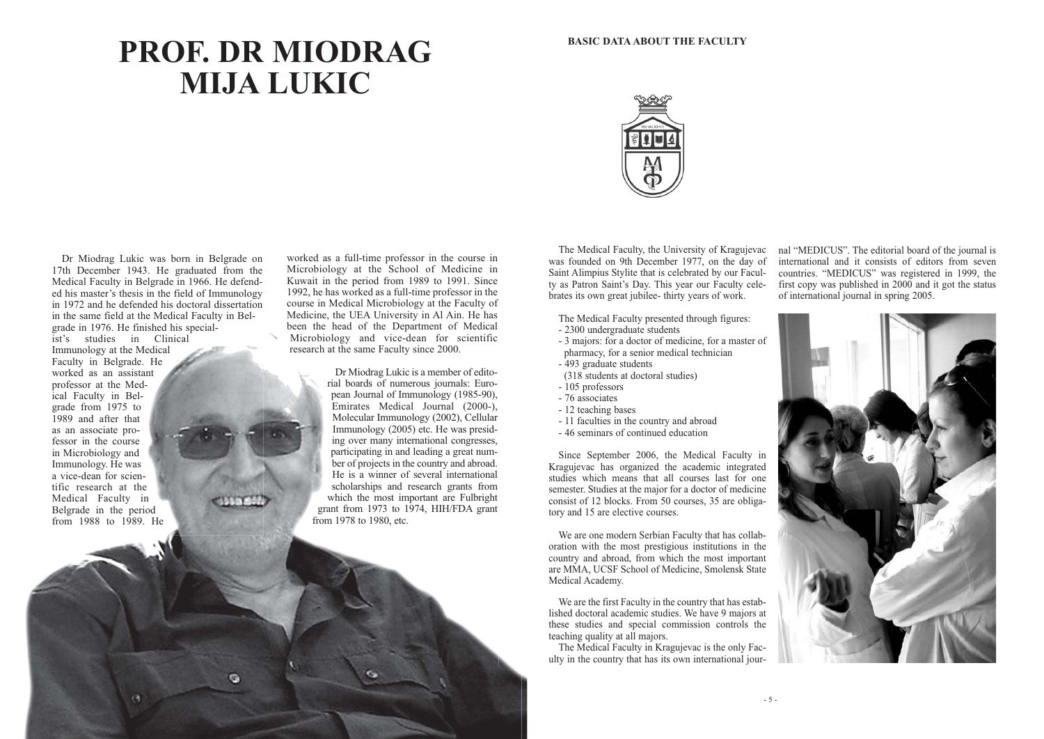Dr Miodrag Lukic was born in Belgrade on 17th December 1943. He graduated from the Medical Faculty in Belgrade in 1966. He defended his master's thesis in the field of Immunology in 1972 and he defended his doctoral dissertation in the same field at the Medical Faculty in Belgrade in 1976. He finished his specialist's studies in Clinical Immunology at the Medical Faculty in Belgrade. He worked as an assistant professor at the Medical Faculty in Belgrade from 1975 to 1989 and after that as an associate professor in the course in Microbiology and Immunology. He was a vice-dean for scientific research at the Medical Faculty in Belgrade in the period from 1988 to 1989. He

worked as a full-time professor in the course in Microbiology at the School of Medicine in Kuwait in the period from 1989 to 1991. Since 1992, he has worked as a full-time professor in the course in Medical Microbiology at the Faculty of Medicine, the UEA University in Al Ain. He has been the head of the Department of Medical Microbiology and vice-dean for scientific research at the same Faculty since 2000.

> Dr Miodrag Lukic is a member of editorial boards of numerous journals: European Journal of Immunology (1985-90), Emirates Medical Journal (2000-), Molecular Immunology (2002), Cellular Immunology (2005) etc. He was presiding over many international congresses, participating in and leading a great number of projects in the country and abroad. He is a winner of several international scholarships and research grants from which the most important are Fulbright grant from 1973 to 1974, HIH/FDA grant from 1978 to 1980, etc.



# **PROF. DR MIODRAG MIJA LUKIC**

The Medical Faculty, the University of Kragujevac was founded on 9th December 1977, on the day of Saint Alimpius Stylite that is celebrated by our Faculty as Patron Saint's Day. This year our Faculty celebrates its own great jubilee- thirty years of work.

The Medical Faculty presented through figures:

- 2300 undergraduate students
- 3 majors: for a doctor of medicine, for a master of
- pharmacy, for a senior medical technician
- 493 graduate students
- (318 students at doctoral studies)
- 105 professors
- 76 associates
- 12 teaching bases
- 11 faculties in the country and abroad
- 46 seminars of continued education

Since September 2006, the Medical Faculty in Kragujevac has organized the academic integrated studies which means that all courses last for one semester. Studies at the major for a doctor of medicine consist of 12 blocks. From 50 courses, 35 are obligatory and 15 are elective courses.

We are one modern Serbian Faculty that has collaboration with the most prestigious institutions in the country and abroad, from which the most important are MMA, UCSF School of Medicine, Smolensk State Medical Academy.

We are the first Faculty in the country that has established doctoral academic studies. We have 9 majors at these studies and special commission controls the teaching quality at all majors.

The Medical Faculty in Kragujevac is the only Faculty in the country that has its own international journal "MEDICUS". The editorial board of the journal is international and it consists of editors from seven countries. "MEDICUS" was registered in 1999, the first copy was published in 2000 and it got the status of international journal in spring 2005.